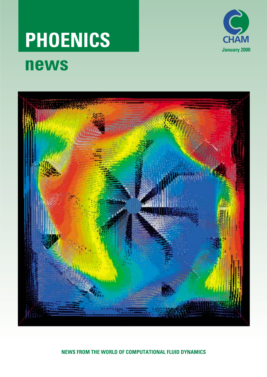# **PHOENICS news**





#### **NEWS FROM THE WORLD OF COMPUTATIONAL FLUID DYNAMICS**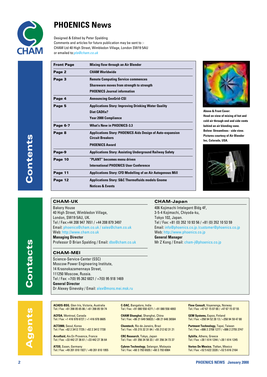

### **PHOENICS News**

Designed & Edited by Peter Spalding Comments and articles for future publication may be sent to :- CHAM Ltd 40 High Street, Wimbledon Village, London SW19 5AU

or emailed to:*pls@cham.co.uk*

| <b>Front Page</b> | <b>Mixing flow through an Air Blender</b>                          |  |  |  |
|-------------------|--------------------------------------------------------------------|--|--|--|
| Page 2            | <b>CHAM Worldwide</b>                                              |  |  |  |
| Page 3            | <b>Remote Computing Service commences</b>                          |  |  |  |
|                   | Shareware moves from strength to strength                          |  |  |  |
|                   | <b>PHOENICS Journal information</b>                                |  |  |  |
| Page 4            | <b>Announcing GeoGrid-CSI</b>                                      |  |  |  |
| Page 5            | <b>Applications Story: Improving Drinking Water Quality</b>        |  |  |  |
|                   | Diet CADfix?                                                       |  |  |  |
|                   | <b>Year 2000 Compliance</b>                                        |  |  |  |
| Page 6-7          | <b>What's New in PHOENICS-3.3</b>                                  |  |  |  |
| Page 8            | <b>Applications Story: PHOENICS Aids Design of Auto-expansion</b>  |  |  |  |
|                   | <b>Circuit Breakers</b>                                            |  |  |  |
|                   | <b>PHOENICS Award</b>                                              |  |  |  |
| Page-9            | <b>Applications Story: Assisting Underground Railway Safety</b>    |  |  |  |
| Page 10           | "PLANT" becomes menu driven                                        |  |  |  |
|                   | <b>International PHOENICS User Conference</b>                      |  |  |  |
| Page 11           | <b>Applications Story: CFD Modelling of an Air Autogenous Mill</b> |  |  |  |
| Page 12           | <b>Applications Story: S&amp;C Thermofluids models Gnome</b>       |  |  |  |
|                   | <b>Notices &amp; Events</b>                                        |  |  |  |



**Above & Front Cover: Head on view of mixing of hot and cold air through end and side vents behind an air blending vane. Below: Streamlines - side view. Pictures courtesy of Air Blender Inc, Colorado, USA.**



#### **CHAM-UK**

Bakery House 40 High Street, Wimbledon Village, London, SW19 5AU, UK. Tel / Fax:+44 208 947 7651 / +44 208 879 3497 Email: phoenics@cham.co.uk / sales@cham.co.uk Web: http://www.cham.co.uk **Managing Director**

Professor D Brian Spalding / Email: dbs@cham.co.uk

#### **CHAM-MEI**

Science-Service-Center (SSC) Moscow Power Engineering Institute, 14 Krasnokazamennaya Street, 111250 Moscow, Russia. Tel / Fax: +7(0) 95 362 6821 / +7(0) 95 918 1469 **General Director** Dr Alexey Ginevsky / Email: alex@mons.mei.msk.ru

#### **CHAM-Japan**

406 Kojimachi Intelegent Bldg 4F, 3-5-4 Kojimachi, Chiyoda-ku, Tokyo 102, Japan. Tel / Fax: +81 (0) 352 10 93 56 / +81 (0) 352 10 53 59 Email: info@phoenics.co.jp /customer@phoenics.co.jp Web: http://www.phoenics.co.jp **General Manager**

Mr Z Kong / Email: cham-j@phoenics.co.jp

**ACADS-BSG**, Glen Iris, Victoria, Australia Tel / Fax: +61 398 85 65 86 / +61 398 85 59 74

**ACFDA**, Montreal, Canada Tel / Fax: +1 416 978 6727 / +1 416 978 8605

**ACT2000,** Seoul, Korea Tel / Fax: +82 2 3412 7729 / +82 2 3412 7730

**Arcofluid,** Aix En Provence, France Tel / Fax: +33 442 27 36 61 / +33 442 27 36 64

**ATOS**, Essen, Germany Tel / Fax: +49 201 810 1927 / +49 201 810 1955 **C-DAC**, Bangalore, India Tel / Fax: +91 080 558 4271 / +91 080 558 4893

**CHAM Shanghai**, Shanghai, China Tel / Fax: +86 21 649 56833 / +86 21 648 36584

**Chemtech**, Rio de Janeiro, Brazi

Tel / Fax: +55 215 32 31 84 / +55 212 62 31 21

**CRC Research**, Tokyo, Japan Tel / Fax: +81 356 34 58 33 / +81 356 34 73 37

**Cybron Technology**, Selangor, Malaysia Tel / Fax: +60 3 793 6920 / +60 3 793 6984

**Flow Consult**, Voyenenga, Norway Tel / Fax: +47 67 15 07 00 / +47 67 15 07 55

**GEM Systems,** Espoo, Finland Tel / Fax: +358 94 52 28 13 / +358 94 59 47 80

**Partment Technology,** Tapei, Taiwan Tel / Fax: +886 2 2708 1277 / +886 2 2755 3747

**Sybilla**, Athens, Greece Tel / Fax: +30 1 614 1244 / +30 1 614 1245

**Vortex De Mexico**, Tlaltan, Mexico Tel / Fax: +52 5 622 3320 / +52 5 616 2164

**Contacts**

Agents

Contacts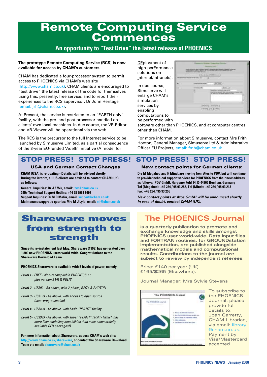### **Remote Computing Service Commences**

**An opportunity to "Test Drive" the latest release of PHOENICS**

#### **The prototype Remote Computing Service (RCS) is now available for access by CHAM's customers.**

CHAM has dedicated a four-processor system to permit access to PHOENICS via CHAM's web site (http://www.cham.co.uk). CHAM clients are encouraged to "test drive" the latest release of the code for themselves using this, presently, free service, and to report their experiences to the RCS supervisor, Dr John Heritage (email: jrh@cham.co.uk).

At Present, the service is restricted to an "EARTH only" facility, with the pre- and post-processor handled on clients' own local machines. In due course, the VR-Editor and VR-Viewer will be operational via the web.

The RCS is the precursor to the full Internet service to be launched by Simuserve Limited, as a partial consequence of the 3-year EU-funded 'Adelfi' initiative (A model for

DEployment of high-perFormance solutions on Internet/Intranets).

In due course, Simuserve will enlarge CHAM's simulation services by enabling computations to



be performed with

software other than PHOENICS, and at computer centres other than CHAM.

For more information about Simuserve, contact Mrs Frith Hooton, General Manager, Simuserve Ltd & Administrative Officer EU Projects, email: fmh@cham.co.uk.

### **STOP PRESS! STOP PRESS! STOP PRESS! STOP PRESS!**

#### **USA and German Contact Changes**

**CHAM (USA) is relocating - Details will be advised shortly. During the interim, all US clients are advised to contact CHAM (UK), as follows:**

**General Inquiries: Dr J Z Wu, email: jzw@cham.co.uk 24Hr Technical Support Hotline: +44 78 7968 8697 Support Inquiries: Dr M R Malin, email: support@cham.co.uk**

**Maintenance/upgrade queries: Mrs M J Lyle, email: ml@cham.co.uk**

### **Shareware moves from strength to strength**

**Since its re-instatement last May, Shareware (1999) has generated over 1,800 new PHOENICS users world-wide. Congratulations to the Shareware Download Team.**

**PHOENICS Shareware is available with 5 levels of power, namely:-**

- *Level 1 FREE Non-recompilable PHOENICS 1.5 plus version 2 VR & POLIS*
- *Level 2 US\$99 As above, with 2-phase, BFC's & PHOTON*
- *Level 3 US\$199 As above, with access to open source (user-programmable)*
- *Level 4 US\$499 As above, with basic "PLANT" facility*
- *Level 5 US\$999 As above, with super "PLANT" facility (which has more flow modelling capabilities than most commercially available CFD packages!)*

**For more information about Shareware, access CHAM's web site: http://www.cham.co.uk/shareware, or contact the Shareware Download Team via email: shareware@cham.co.uk**

#### **New contact points for German clients:**

**Drs M Megahed and H Mindt are moving from Atos to PDV, but will continue to provide technical support services for PHOENICS from their new address, as follows: PDV GmbH, Harpener Feld 14, D-44805 Bochum, Germany Tel (Megahed): +49 234 / 95 93 252, Tel (Mindt): +49 234 / 95 93 213 Fax: +49 234 / 95 93 255**

*New contact points at Atos GmbH will be announced shortly. In case of doubt, contact CHAM (UK).*

### **The PHOENICS Journal**

**is a quarterly publication to promote and exchange knowledge and skills amongst PHOENICS user world-wide. Data input files and FORTRAN routines, for GROUNDstation implementation, are published alongside mathematical models and computational results. Contributions to the journal are subject to review by independent referees**.

Price: £140 per year (UK) £165/\$265 (Elsewhere).

Journal Manager: Mrs Sylvie Stevens



To subscribe to the PHOENICS Journal, please provide full details to: Joan Garretty, CHAM Librarian, via email: library @cham.co.uk. Payment by Visa/Mastercard accepted.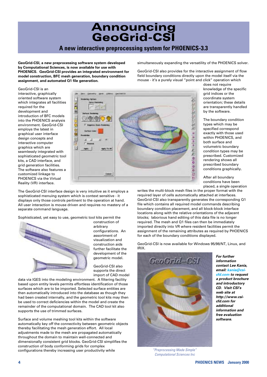### **Announcing GeoGrid-CSI A new interactive preprocessing system for PHOENICS-3.3**

**GeoGrid-CSI, a new preprocessing software system developed by Computational Sciences, is now available for use with PHOENICS. GeoGrid-CSI provides an integrated environment for model construction, BFC mesh generation, boundary condition assignment, and automated Q1 file generation.**

simultaneously expanding the versatility of the PHOENICS solver.

GeoGrid-CSI also provides for the interactive assignment of flow field boundary conditions directly upon the model itself via the mouse - it's a purely visual "point and click" operation which

writes the multi-block mesh files in the proper format with the required layer of cells automatically attached at interfaces. GeoGrid-CSI also transparently generates the corresponding Q1 file which contains all required model commands describing boundary condition placement, and all block-block interface locations along with the relative orientations of the adjacent blocks; laborious hand editing of this data file is no longer required. The mesh and Q1 files can then be immediately imported directly into VR where resident facilities permit the assignment of the remaining attributes as required by PHOENICS

GeoGrid-CSI is now available for Windows 95/98/NT, Linux, and

does not require knowledge of the specific grid indices or the coordinate system orientation; these details are transparently handled

by the software.

After all boundary conditions have been placed, a single operation

The boundary condition types which may be specified correspond exactly with those used within PHOENICS, and both surface and volumetric boundary condition types may be prescribed. Customized rendering shows all prescribed boundary conditions graphically.

GeoGrid-CSI is an

interactive, graphically oriented software system which integrates all facilities required for the development and introduction of BFC models into the PHOENICS analysis environment. GeoGrid-CSI employs the latest in graphical user interface design concepts and interactive computer graphics which are seamlessly integrated with sophisticated geometric tool kits, a CAD interface, and grid generation facilities. The software also features a customized linkage to PHOENICS via the Virtual Reality (VR) interface.



IRIX.

The GeoGrid-CSI interface design is very intuitive as it employs a sophisticated menuing system which is context sensitive - it displays only those controls pertinent to the operation at hand. All user interaction is mouse driven and requires no mastery of a separate command language.

Sophisticated, yet easy to use, geometric tool kits permit the



construction of arbitrary configurations. An assortment of visualization and construction aids further facilitate the development of the geometric model.

GeoGrid-CSI also supports the direct import of CAD model

data via IGES into the modeling environment. A filtering facility based upon entity levels permits effortless identification of those surfaces which are to be imported. Selected surface entities are then automatically introduced into the database as though they had been created internally, and the geometric tool kits may then be used to correct deficiencies within the model and create the remainder of the computational domain. The CAD tool kit also supports the use of trimmed surfaces.

Surface and volume meshing tool kits within the software automatically key off the connectivity between geometric objects thereby facilitating the mesh generation effort. All local adjustments made to the mesh are propagated automatically throughout the domain to maintain well-connected and dimensionally consistent grid blocks. GeoGrid-CSI simplifies the construction of body conforming grids for complex configurations thereby increasing user productivity while

GeoGrid-CSI

for each of the boundary conditions displayed.

*For further information contact Lee Kania, email: kania@csicfd.com to request a product brochure and introductory CD. Visit CSI's web site at http://www.csicfd.com for additional information and free evaluation software.*

*"Preprocessing Made Simple" Computational Sciences Inc*

**4 PHOENICS NEWS January 2000**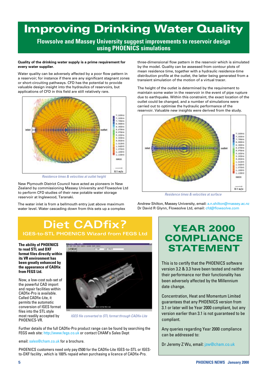### **Improving Drinking Water Quality**

**Flowsolve and Massey University suggest improvements to reservoir design using PHOENICS simulations**

#### **Quality of the drinking water supply is a prime requirement for every water supplier.**

Water quality can be adversely affected by a poor flow pattern in a reservoir; for instance if there are any significant stagnant zones or short-circuiting pathways. CFD has the potential to provide valuable design insight into the hydraulics of reservoirs, but applications of CFD in this field are still relatively rare.



*Residence times & velocities at outlet height*

New Plymouth District Council have acted as pioneers in New Zealand by commissioning Massey University and Flowsolve Ltd to perform CFD studies of their new potable water storage reservoir at Inglewood, Taranaki.

The water inlet is from a bellmouth entry just above maximum water level. Water cascading down from this sets up a complex three-dimensional flow pattern in the reservoir which is simulated by the model. Quality can be assessed from contour plots of mean residence time, together with a hydraulic residence-time distribution profile at the outlet, the latter being generated from a transient simulation of the motion of a virtual tracer.

The height of the outlet is determined by the requirement to maintain some water in the reservoir in the event of pipe rupture due to earthquake. Within this constraint, the exact location of the outlet could be changed, and a number of simulations were carried out to optimise the hydraulic performance of the reservoir. Valuable new insights were derived from the study.



*Residence times & velocities at surface*

Andrew Shilton, Massey University, email: a.n.shilton@massey.ac.nz Dr David R Glynn, Flowsolve Ltd, email: cfd@flowsolve.com

### **Diet CADfix? IGES-to-STL PHOENICS Wizard from FEGS Ltd**

**The ability of PHOENICS to read STL and DXF format files directly within its VR environment has been greatly enhanced by the appearance of CADfix from FEGS Ltd.**

Now, a low-cost sub-set of the powerful CAD import and repair facilities within CADfix-Pro is available. Called CADfix-Lite, it permits the automatic conversion of IGES format files into the STL style most readily accepted by PHOENICS-VR.



*IGES file converted to STL format through CADfix-Lite*

Further details of the full CADfix-Pro product range can be found by searching the FEGS web site: http://www.fegs.co.uk or contact CHAM's Sales Dept

email: sales@cham.co.uk for a brochure.

PHOENICS customers need only pay £500 for the CADfix-Lite IGES-to-STL or IGESto-DXF facility , which is 100% repaid when purchasing a licence of CADfix-Pro.

### **YEAR 2000 COMPLIANCE STATEMENT**

This is to certify that the PHOENICS software version 3.2 & 3.3 have been tested and neither their performance nor their functionality has been adversely affected by the Millennium date change.

Concentration, Heat and Momentum Limited guarantees that any PHOENICS version from 3.1 or later will be Year 2000 compliant, but any version earlier than 3.1 is not guaranteed to be compliant.

Any queries regarding Year 2000 compliance can be addressed to:

Dr Jeremy Z Wu, email: jzw@cham.co.uk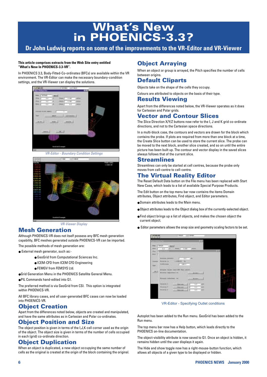### **What's New in PHOENICS-3.3?**

**Dr John Ludwig reports on some of the improvements to the VR-Editor and VR-Viewer**

#### **This article comprises extracts from the Web Site entry entitled "What's New In PHOENICS-3.3-VR".**

In PHOENICS 3.3, Body-Fitted-Co-ordinates (BFCs) are available within the VR environment. The VR-Editor can make the necessary boundary-condition settings, and the VR-Viewer can display the solutions.



*VR-Editor - Boundary Condition Settings*



*VR-Viewer Display*

#### **Mesh Generation**

Although PHOENICS-VR does not itself possess any BFC mesh generation capability, BFC meshes generated outside PHOENICS-VR can be imported. The possible methods of mesh generation are:

● External mesh generator, such as:-

- GeoGrid from Computational Sciences Inc.
- ICEM-CFD from ICEM CFD Engineering
- FEMGV from FEMSYS Ltd.
- ●Grid Generation Menu in the PHOENICS Satellite General Menu.
- ●PIL Commands hand-edited into Q1.

The preferred method is via GeoGrid from CSI. This option is integrated within PHOENICS-VR.

All BFC library cases, and all user-generated BFC cases can now be loaded into PHOENICS-VR.

#### **Object Creation**

Apart from the differences noted below, objects are created and manipulated, and have the same attributes as in Cartesian and Polar co-ordinates.

#### **Object Position and Size**

The object position is given in terms of the I,J,K cell corner used as the origin of the object. The object size is given in terms of the number of cells occupied in each (grid) co-ordinate direction.

#### **Object Duplication**

When an object is duplicated, a new object occupying the same number of cells as the original is created at the origin of the block containing the original.

#### **Object Arraying**

When an object or group is arrayed, the Pitch specifies the number of cells between origins.

#### **Default Cliparts**

Objects take on the shape of the cells they occupy.

Colours are attributed to objects on the basis of their type.

#### **Results Viewing**

Apart from the differences noted below, the VR-Viewer operates as it does for Cartesian and Polar grids.

#### **Vector and Contour Slices**

The Slice Direction X/Y/Z buttons now refer to the I, J and K grid co-ordinate directions, and not to the Cartesian space directions.

In a multi-block case, the contours and vectors are drawn for the block which contains the probe. If plots are required from more than one block at a time, the Create Slice button can be used to store the current slice. The probe can be moved to the next block, another slice created, and so on until the entire picture has been built up. The contour and vector display in the saved slices always follows that of the current slice.

#### **Streamlines**

Streamlines can only be started at cell centres, because the probe only moves from cell-centre to cell-centre.

#### **The Virtual Reality Editor**

The Reset Default Data button on the File menu has been replaced with Start New Case, which leads to a list of available Special Purpose Products.

The Edit button on the top menu bar now contains the items Domain attributes, Object attributes, Find object, and Editor parameters.

- ●Domain attributes leads to the Main menu.
- ●Object attributes leads to the Object dialog box of the currently-selected object.
- ●Find object brings up a list of objects, and makes the chosen object the current object.
- Editor parameters allows the snap size and geometry scaling factors to be set.



VR-Editor - Specifying Outlet conditions

Autoplot has been added to the Run menu. GeoGrid has been added to the Run menu.

The top menu bar now has a Help button, which leads directly to the PHOENICS on-line documentation.

The object-visibility attribute is now saved to Q1. Once an object is hidden, it remains hidden until the user displays it again.

The Hide and show toggle now has a right-mouse-button function, which allows all objects of a given type to be displayed or hidden.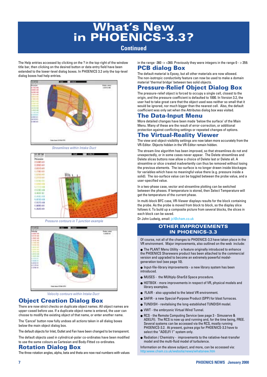### **What's New in PHOENICS-3.3?**

#### **Continued**

The Help entries accessed by clicking on the ? in the top-right of the window title bar, then clicking on the desired button or data entry field have been extended to the lower-level dialog boxes. In PHOENICS 3.2 only the top-level dialog boxes had help entries.



*Streamlines within Intake Duct*



*Pressure contours in T-junction example*



*Velocity contours within Intake Duct*

#### **Object Creation Dialog Box**

There are now strict checks on duplicate object names. All object names are upper-cased before use. If a duplicate object name is entered, the user can choose to modify the existing object of that name, or enter another name.

The 'Cancel' button now fully undoes all actions taken in all dialog boxes below the main object dialog box.

The default objects for Inlet, Outlet and Fan have been changed to be transparent.

The default objects used in cylindrical-polar co-ordinates have been modified to use the same colours as Cartesian and Body-Fitted co-ordinates.

#### **Rotation Dialog Box**

The three rotation angles, alpha, beta and theta are now real numbers with values

#### in the range  $-360 \rightarrow +360$ . Previously they were integers in the range  $0 \rightarrow 359$ . **PCB dialog Box**

The default material is Epoxy, but all other materials are now allowed. The non-isotropic conductivity feature can now be used to make a domain material 'thermal bridge' between two solid objects.

#### **Pressure-Relief Object Dialog Box**

The pressure-relief object is forced to occupy a single cell, closest to the origin, and the pressure coefficient is defaulted to 1000. In Version 3.2, the user had to take great care that the object used was neither so small that it would be ignored, nor much bigger than the nearest cell. Also, the default coefficient was only set when the Attributes dialog box was visited.

#### **The Data-Input Menu**

More detailed changes have been made 'below the surface' of the Main Menu. Many of these are the result of error-correction, or additional protection against conflicting settings or repeated changes of options.

#### **The Virtual-Reality Viewer**

The view and object-visibility settings are now taken more accurately from the VR-Editor. Objects hidden in the VR-Editor remain hidden.

The stream-line algorithm has been improved, so that streamlines do not end unexpectedly, or in some cases never appear. The Delete streamlines and Delete slices buttons now allow a choice of Delete last or Delete all. A streamline or slice created inadvertently can thus be removed without losing the previous elements. The iso-surface is no longer drawn inside blockages for variables which have no meaningful value there (e.g. pressure inside a solid). The iso-surface value can be toggled between the probe value, and a user-specified value.

In a two-phase case, vector and streamline plotting can be switched between the phases. If temperature is stored, then Select Temperature will get the temperature of the current phase.

In multi-block BFC case, VR-Viewer displays results for the block containing the probe. As the probe is moved from block to block, so the display slice follows it. To build up a composite picture from several blocks, the slices in each block can be saved.

Dr John Ludwig, email: jcl@cham.co.uk

#### **OTHER IMPROVEMENTS IN PHOENICS-3.3**

Of course, not all of the changes to PHOENICS-3.3 have taken place in the VR environment. Major improvements, also outlined on the web include:

● The PLANT Menu Utility - a feature originally introduced to enhance the PHOENICS Shareware product has been attached to the commercial version and upgraded to become an extremely powerful modelgeneration tool (see page 10).

- Input-file-library improvements a new library system has been introduced.
- MUSES the MUltiply-SharEd Space procedure.
- HOTBOX more improvements in respect of VR, physical models and library examples.
- FLAIR also upgraded to the latest VR environment.
- SAFIR a new Special-Purpose Product (SPP) for blast furnaces.
- TUNDISH revitalising the long-established TUNDISH model.
- VWT the embryonic Virtual Wind Tunnel.
- RCS the Remote Computing Service (see page 3 Simuserve & ADELFI). The RCS is now up and running and, for the time being, FREE. Several systems can be accessed via the RCS, mostly running PHOENICS-3.2. At present, guinea pigs for PHOENICS-3.3 have to select the "ADELFI 1" system only.
- Radiation / Chemistry improvements to the ratiative-heat-transfer model and the multi-fluid model of turbulence.

Information on the above subject, and more, can be accessed via: http:www.cham.co.uk/website/news/whatsnew.htm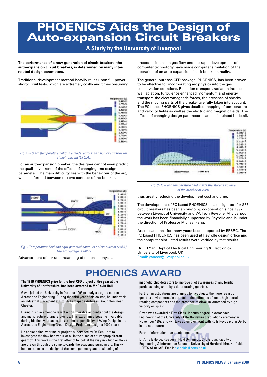### **PHOENICS Aids the Design of Auto-expansion Circuit Breakers**

**A Study by the University of Liverpool**

**The performance of a new generation of circuit breakers, the auto-expansion circuit breakers, is determined by many interrelated design parameters.**

Traditional development method heavily relies upon full-power short-circuit tests, which are extremely costly and time-consuming.



*Fig. 1 SF6 arc (temperature field) in a model auto-expansion circuit breaker at high current (18.6kA).* 

For an auto-expansion breaker, the designer cannot even predict the qualitative trend of the effects of changing one design parameter. The main difficulty lies with the behaviour of the arc, which is formed between the two contacts of the breaker.



*Fig. 2 Temperature field and equi-potential contours at low current (2.5kA). The arc voltage is 1420V.*

Advancement of our understanding of the basic physical

processes in arcs in gas flow and the rapid development of computer technology have made computer simulation of the operation of an auto-expansion circuit breaker a reality.

The general-purpose CFD package, PHOENICS, has been proven to be effective for incorporating arc physics into the gas conservation equations. Radiation transport, radiation induced wall ablation, turbulence enhanced momentum and energy transport, the electromagnetic forces, the presence of shocks, and the moving parts of the breaker are fully taken into account. The PC based PHOENICS gives detailed mapping of temperature and velocity fields as well as the electric and magnetic fields. The effects of changing design parameters can be simulated in detail,



*Fig. 3 Flow and temperature field inside the storage volume of the breaker at 20kA.*

thus greatly reducing the development cost and time.

The development of PC based PHOENICS as a design tool for SF6 circuit breakers has been an on-going co-operation since 1992 between Liverpool University and VA Tech Reyrolle. At Liverpool, the work has been financially supported by Reyrolle and is under the direction of Professor Michael Fang.

Arc research has for many years been supported by EPSRC. The PC based PHOENICS has been used at Reyrolle design office and the computer simulated results were verified by test results.

Dr J D Yan. Dept of Electrical Engineering & Electronics University of Liverpool. UK Email: yaneee@liverpool.ac.uk

### **PHOENICS AWARD**

**The 1999 PHOENICS prize for the best CFD project of the year at the University of Hertfordshire, has been awarded to Mr Gavin Hall.**

Gavin joined the University in October 1995 to study a degree course in Aerospace Engineering. During the third year of his course, he undertook an industrial placement at British Aerospace Airbus in Broughton, near Chester.

During his placement he learnt a considerable amount about the design and manufacture of aricraft wings. This experiance became invaluable during his final year as he took on the responsibility of Wing Design in the Aerospace Engineering Group Design Project to design a 1000 seat aircraft

He chose a final year major project, supervised by Dr Ken Hart, to investigate the flow behaviour of oil in the sump of a turboprop aircraft gearbox. This work is the first attempt to look at the way in which oil flows are drawn through the sump towards the scavenge pump inlets. This will help to optimise the design of the sump geometry and positioning of

magnetic chip detectors to improve pilot awareness of any ferritic particles being shed by a deteriorating gearbox.

Further investigations are planned to investigate the more realistic gearbox environment, in particular, the influence of local, high speed rotating components and the presence of air/oil mixtures fed by high velocity oil splash.

Gavin was awarded a First Class Honours degree in Aerospace Engineering at the University of Hertfordshire graduation ceremony in November 1999, and will take up employment with Rolls Royce plc in Derby in the near future.

Further information can be obtained from:-

Dr Arne E Holdo, Reader in Fluid Dynamics, CFD Group, Faculty of Engineering & Information Science, University of Hertfordshire, Hatfield, HERTS AL10 9AB. Email: a.e.holdo@herts.ac.uk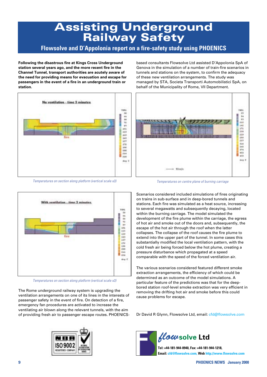### **Assisting Underground Railway Safety**

#### **Flowsolve and D'Appolonia report on a fire-safety study using PHOENICS**

**Following the disastrous fire at Kings Cross Underground station several years ago, and the more recent fire in the Channel Tunnel, transport authorities are acutely aware of the need for providing means for evacuation and escape for passengers in the event of a fire in an underground train or station.**



*Temperatures on section along platform (vertical scale x3) Temperatures on centre plane of burning carriage*



*Temperatures on section along platform (vertical scale x3)*

The Rome underground railway system is upgrading the ventilation arrangements on one of its lines in the interests of passenger safety in the event of fire. On detection of a fire, emergency fan procedures are activated to increase the ventilating air blown along the relevant tunnels, with the aim of providing fresh air to passenger escape routes. PHOENICS-



based consultants Flowsolve Ltd assisted D'Appolonia SpA of Genova in the simulation of a number of train-fire scenarios in tunnels and stations on the system, to confirm the adequacy of these new ventilation arrangements. The study was managed by STA, Societa Transporti Automobilistici SpA, on behalf of the Municipality of Rome, VII Department.



Scenarios considered included simulations of fires originating on trains in sub-surface and in deep-bored tunnels and stations. Each fire was simulated as a heat source, increasing to several megawatts and subsequently decaying, located within the burning carriage. The model simulated the development of the fire plume within the carriage, the egress of hot air and smoke out of the doors and, subsequently, the escape of the hot air through the roof when the latter collapses. The collapse of the roof causes the fire plume to extend into the upper part of the tunnel. In some cases this substantially modified the local ventilation pattern, with the cold fresh air being forced below the hot plume, creating a pressure disturbance which propagated at a speed comparable with the speed of the forced ventilation air.

The various scenarios considered featured different smoke extraction arrangements, the efficiency of which could be determined as an outcome of the model simulations. A particular feature of the predictions was that for the deepbored station roof-level smoke extraction was very efficient in removing the drifting hot air and smoke before this could cause problems for escape.

Dr David R Glynn, Flowsolve Ltd, email: cfd@flowsolve.com



**9 PHOENICS NEWS January 2000**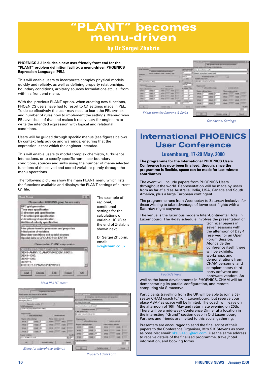### LANT" becomes **menu-driven**

#### **by Dr Sergei Zhubrin**

#### **PHOENICS 3.3 includes a new user-friendly front end for the "PLANT" problem definition facility, a menu-driven PHOENICS Expression Language (PEL).**

This will enable users to incorporate complex physical models quickly and reliably, as well as defining property relationships, boundary conditions, arbitrary sources formulations etc., all from within a front end menu.

With the previous PLANT option, when creating new functions, PHOENICS users have had to resort to Q1 settings made in PEL. To do so effectively the user may need to learn the PEL syntax and number of rules how to implement the settings. Menu-driven PEL avoids all of that and makes it really easy for engineers to write the intended expression with logical and relational conditions.

Users will be guided through specific menus (see figures below) by context help advice and warnings, ensuring that the expression is that which the engineer intended.

This will enable users to model complex chemistry, turbulence interactions, or to specify specific non-linear boundary conditions, sources and sinks using the number of menu-selected functions of the solved and stored variables purely through the menu operations.

The following pictures show the main PLANT menu which lists the functions available and displays the PLANT settings of current Q1 file.

| Plant Monte                                                                   |  |
|-------------------------------------------------------------------------------|--|
| Please select GROUND group for new entry                                      |  |
| <b>BFC</b> grid generation                                                    |  |
| Time-step specification                                                       |  |
| X-direction grid specification                                                |  |
| Y-direction grid specification                                                |  |
| Z-direction grid specification                                                |  |
| Additional velocity specification                                             |  |
| Proportion of the resulting                                                   |  |
| Inter-phase-transfer processes and properties<br>kritisfization of variables. |  |
|                                                                               |  |
|                                                                               |  |
| Boundary conditions and special anotessa                                      |  |
| Special calls to CROUND from EARTH                                            |  |
| Pleasur salect PLANT exopression                                              |  |
| <b>DENT FRESSIVEMENTMET FINYI</b>                                             |  |
| DEN1~AMIN1(10,AMAX1@@DEN1,0.001))                                             |  |
| DEN1-1000.                                                                    |  |
| DEN2+1000.                                                                    |  |
| DEN2+1.<br>INTERC»1.EIPMASS19R2NPOR                                           |  |

The example of regional, conditional settings for the calculations of variable HSUB at the end of Z-slab is shown next.

Dr Sergei Zhubrin, email: svz@cham.co.uk

|                                                               |               |              |                                     |                                            | ш              |
|---------------------------------------------------------------|---------------|--------------|-------------------------------------|--------------------------------------------|----------------|
|                                                               |               |              | at \$3 through at 1000 forter today |                                            |                |
|                                                               |               | distant.     | <b>Barriotte</b>                    |                                            |                |
| a primer from the air back starting the chief<br><b>Total</b> |               |              |                                     |                                            |                |
|                                                               |               |              |                                     |                                            |                |
|                                                               | <b>HALL</b>   |              |                                     |                                            |                |
| <b>STOP TO LIMIT</b>                                          |               |              | <b>CALL MORE</b>                    |                                            |                |
| ---                                                           |               |              |                                     |                                            |                |
|                                                               |               |              |                                     |                                            |                |
|                                                               |               |              |                                     |                                            |                |
|                                                               |               |              | y torn                              |                                            |                |
| w                                                             |               | ٠            | <b>JAN</b><br>×                     | ᆖ<br><b>JALIE</b><br><b>JPMR</b>           | ╍              |
| <b>SHOWER</b>                                                 | <b>PERMIT</b> |              | <b>View</b>                         | <b>Virus</b><br><b>Tall</b><br><b>STEP</b> | m              |
|                                                               |               | <b>TELMI</b> |                                     |                                            |                |
| m.                                                            | ,,,,<br>--    | حالة         |                                     |                                            |                |
|                                                               |               |              |                                     |                                            | -<br>-         |
| <b>Editor form for Sources &amp; Sinks</b>                    |               |              |                                     | <b>STATISTICS</b>                          | <b>Classed</b> |

*Conditional Settings*

### **International PHOENICS User Conference**

#### **Luxembourg, 17-20 May, 2000**

**The programme for the International PHOENICS Users Conference has now been finalised, though, since the programme is flexible, space can be made for last minute contributors.**

The event will include papers from PHOENICS Users throughout the world. Representation will be made by users from as far afield as Australia, India, USA, Canada and South America, plus a large European contingent.

The programme runs from Wednesday to Saturday inclusive, for those wishing to take advantage of lower cost flights with a Saturday night stayover.

The venue is the luxurious modern Inter-Continental Hotel in Luxembourg. The 4-day schedule involves the presentation of



technical papers in seven sessions with the afternoon of Day 4 reserved for an Open Forum Session. Alongside the conference itself, there will be exhibits, workshops and demonstrations from CHAM personnel and complementary third party software and hardware vendors. As

*Poolside View*

well as the latest developments in PHOENICS, CHAM will be demonstrating its parallel configuration, and remote computing via Simuserve.

Participants travelling from the UK will be able to join a 53 seater CHAM coach to/from Luxembourg, but reserve your place ASAP as space will be limited. The coach will leave on the afternoon of 16th May and return late evening on 20th. There will be a mid-week Conference Dinner at a location in the interesting "Grund" section deep in Old Luxembourg. Partners and friends are invited to this social gathering.

Presenters are encouraged to send the final script of their papers to the Conference Organiser, Mrs S K Stevens as soon as possible; email: sks894460@aol.com. Use the same addres aol.com. Use the same address to receive details of the finalised programme, travel/hotel information, and booking forms.

#### *Main PLANT menu*

| <b>Box arms continue</b><br><b>Portech contracts of 10 kilosoph call that their state of a</b> |                   |                                                       |                                                                                             |                                        |                                    |   |
|------------------------------------------------------------------------------------------------|-------------------|-------------------------------------------------------|---------------------------------------------------------------------------------------------|----------------------------------------|------------------------------------|---|
| Tel: Play of Mc 2327 "Kin players 1<br>S samlig for planes 2                                   |                   |                                                       | <b>RESIDENCE &amp; MODEL DISCUSSION AND ALTER</b><br><b><i>COLUMN 2 1985 1984 1 100</i></b> |                                        |                                    |   |
| dealers considere<br>FLTWT simbon                                                              |                   | age his day your                                      | Base I do concilius a suche cad                                                             |                                        |                                    |   |
| EXTER FORESWERED WE'LL TRAY<br>pollo continua sino<br>and the street party                     |                   | FLAM potential control<br><b>NIMES' ROMENSE AFTER</b> | <b>STATE OF TAXABLE PARTIES</b>                                                             |                                        |                                    | ٠ |
| ---<br><b>PERSONAL PROPERTY</b><br><b>MATHE</b>                                                | <b>BALLY</b>      | --                                                    | <b>F. Lettic and more name</b>                                                              |                                        | <b><i><u>BERTH GENERAL</u></i></b> |   |
| <b>START</b><br>20100<br><b>HOW</b>                                                            | <b>HAT</b>        | <b>NO FIFEE CREWRIGHT</b><br><b>WINDS</b>             |                                                                                             | <b>Plant received and roll</b><br>7911 |                                    |   |
| TREM<br><b><i>Island (mid)tres</i></b><br><b>U.S. Lead Lat Line</b>                            | <b>Stage</b><br>ы |                                                       |                                                                                             | <b>TREA</b>                            |                                    |   |
| m<br><b>TELEVISION</b>                                                                         |                   | <b>CALL CARD CARDS</b>                                |                                                                                             |                                        |                                    |   |
| Menu for Interphase settings                                                                   |                   |                                                       |                                                                                             | Follow Allina                          |                                    |   |

*Property Editor Form*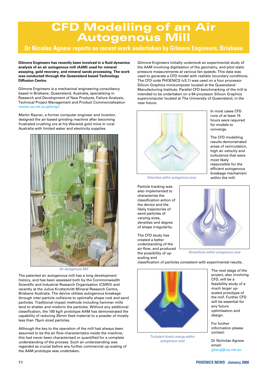### **CFD Modelling of an Air Autogenous Mill**

#### **Dr Nicolas Agnew reports on recent work undertaken by Gilmore Engineers, Brisbane**

**Gilmore Engineers has recently been involved in a fluid dynamics analysis of an air autogenous mill (AAM) used for mineral assaying, gold recovery, and mineral sands processing. The work was conducted through the Queensland based Technology Diffusion Centre.**

Gilmore Engineers is a mechanical engineering consultancy based in Brisbane, Queensland, Australia, specialising in Research and Development of New Products, Failure Analysis, Technical Project Management and Product Commercialisation (www.uq.net.au/gileng/)

Martin Rayner, a former computer engineer and inventor, designed the air-based grinding machine after becoming frustrated crushing ore at his Warwick gold mine in rural Australia with limited water and electricity supplies.



*Air Autogenous Mill*

The patented air autogenous mill has a long development history, and has been assessed both by the Commonwealth Scientific and Industrial Research Organisation (CSIRO) and recently at the Julius Kruttschnitt Mineral Research Centre, Brisbane Australia. The device utilises autogenous breakage through inter-particle collisions to optimally shape rock and sand particles. Traditional impact methods including hammer mills tend to shatter and misform the particles. Without any additional classification, the 100 kg/h prototype AAM has demonstrated the capability of reducing 25mm feed material to a powder of mostly less than 75µm sized particles.

Although the key to the operation of the mill had always been assumed to be the air flow characteristics inside the machine, this had never been characterised or quantified for a complete understanding of the process. Such an understanding was regarded as crucial before any further commercial up-scaling of the AAM prototype was undertaken.

Gilmore Engineers initially undertook an experimental study of the AAM involving digitisation of the geometry, and pitot static pressure measurements at various fan speeds. This data was used to generate a CFD model with realistic boundary conditions. The CFD code PHOENICS (v3.1) was used on a four processor Silicon Graphics minicomputer located at the Queensland Manufacturing Institute. Parallel CFD benchmarking of the mill is intended to be undertaken on a 64 processor Silicon Graphics supercomputer located at The University of Queensland, in the near future.



*Velocities within autogenous zone*

Particle tracking was also implemented to characterise the classification action of the device and the likely trajectories of sand particles of varying sizes, densities and degree of shape irregularity.

The CFD study has created a better understanding of the air-flow, and produced the possibility of upscaling and

In most cases CFD runs of at least 15 hours were required for models to converge.

The CFD modelling results demonstrated areas of recirculation, high air velocity and turbulence that were most likely responsible for the efficient autogenous breakage mechanism within the mill



*Streamlines within autogenous zone*

classification of particles consistent with experimental results.



*Turbulent kinetic energy within autogenous zone*

The next stage of the project, also involving CFD, will be a feasibility study of a much larger upscaled prototype of the mill. Further CFD will be essential for any future optimisation and design.

For further information please contact:

Dr Nicholas Agnew email: gileng@uq.net.au